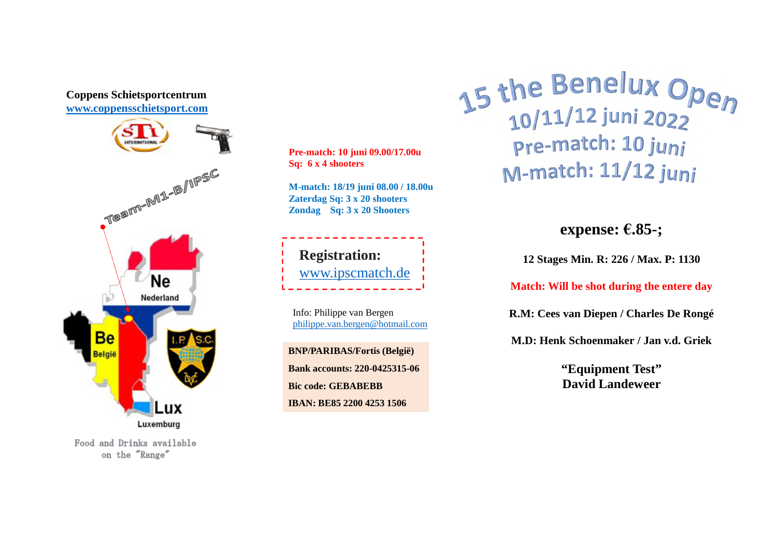

Food and Drinks available on the "Range"

**Pre-match: 10 juni 09.00/17.00u Sq: 6 x 4 shooters** 

**M-match: 18/19 juni 08.00 / 18.00u Zaterdag Sq: 3 x 20 shooters Zondag Sq: 3 x 20 Shooters**



Info: Philippe van Bergen philippe.van.bergen@hotmail.com

**BNP/PARIBAS/Fortis (België) Bank accounts: 220-0425315-06 Bic code: GEBABEBB IBAN: BE85 2200 4253 1506**

15 the Benelux Open pre-match: 10 juni M-match: 11/12 juni

**expense: €.85-;**

**12 Stages Min. R: 226 / Max. P: 1130**

**Match: Will be shot during the entere day**

**R.M: Cees van Diepen / Charles De Rongé**

**M.D: Henk Schoenmaker / Jan v.d. Griek**

**"Equipment Test" David Landeweer**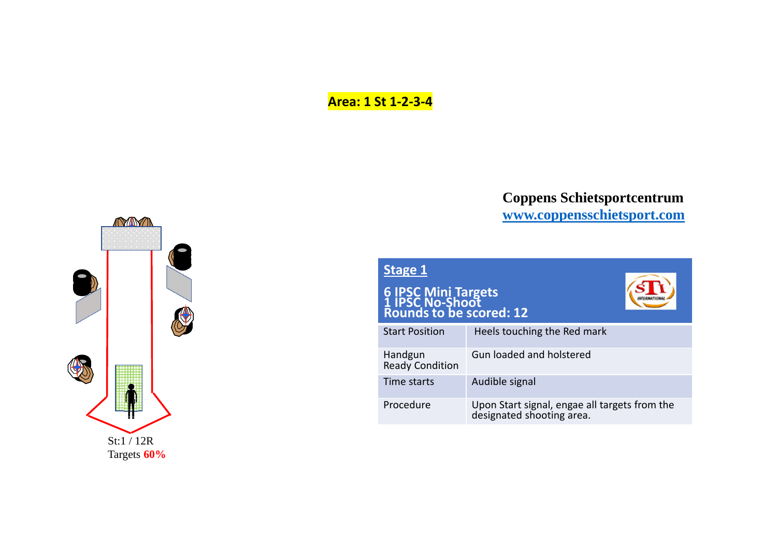# **Area: 1 St 1-2-3-4**



| Stage 1                                                           |                                                                            |
|-------------------------------------------------------------------|----------------------------------------------------------------------------|
| 6 IPSC Mini Targets<br>1 IPSC No-Shoot<br>Rounds to be scored: 12 |                                                                            |
| <b>Start Position</b>                                             | Heels touching the Red mark                                                |
| Handgun<br><b>Ready Condition</b>                                 | Gun loaded and holstered                                                   |
| Time starts                                                       | Audible signal                                                             |
| Procedure                                                         | Upon Start signal, engae all targets from the<br>designated shooting area. |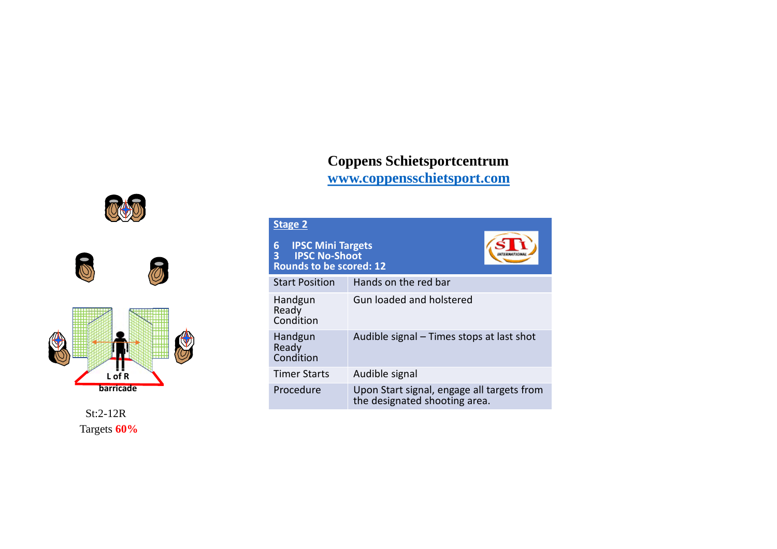# **Coppens Schietsportcentrum**

**www.coppensschietsport.com**





St:2-12R Targets **60%**

#### **Stage 2**

| <b>IPSC Mini Targets</b><br><b>6 IPSC Mini Targe</b><br><b>3 IPSC No-Shoot</b><br><b>Rounds to be scored: 12</b> |                                                                             |  |
|------------------------------------------------------------------------------------------------------------------|-----------------------------------------------------------------------------|--|
| <b>Start Position</b>                                                                                            | Hands on the red bar                                                        |  |
| Handgun<br>Ready<br>Condition                                                                                    | Gun loaded and holstered                                                    |  |
| Handgun<br>Ready<br>Condition                                                                                    | Audible signal – Times stops at last shot                                   |  |
| <b>Timer Starts</b>                                                                                              | Audible signal                                                              |  |
| Procedure                                                                                                        | Upon Start signal, engage all targets from<br>the designated shooting area. |  |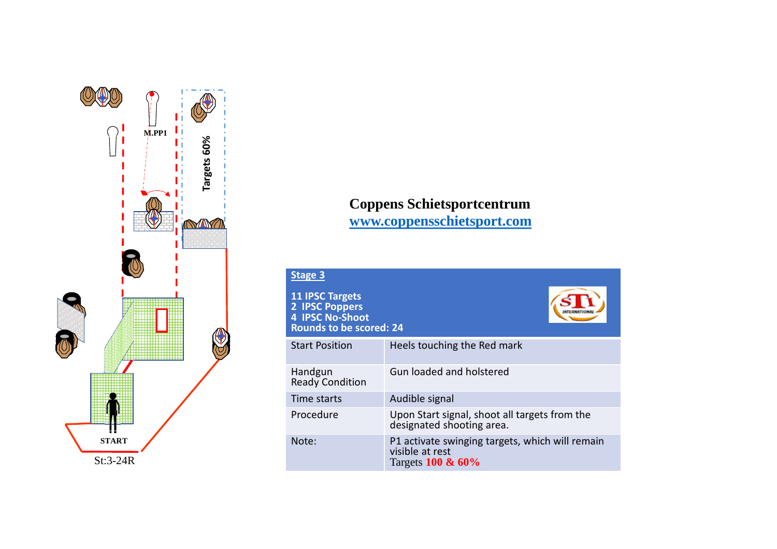

| <b>Stage 3</b>                                                                                       |                                                                                         |
|------------------------------------------------------------------------------------------------------|-----------------------------------------------------------------------------------------|
| <b>11 IPSC Targets</b><br>2 IPSC Poppers<br><b>4 IPSC No-Shoot</b><br><b>Rounds to be scored: 24</b> |                                                                                         |
| <b>Start Position</b>                                                                                | Heels touching the Red mark                                                             |
| Handgun<br><b>Ready Condition</b>                                                                    | Gun loaded and holstered                                                                |
| Time starts                                                                                          | Audible signal                                                                          |
| Procedure                                                                                            | Upon Start signal, shoot all targets from the<br>designated shooting area.              |
| Note:                                                                                                | P1 activate swinging targets, which will remain<br>visible at rest<br>Targets 100 & 60% |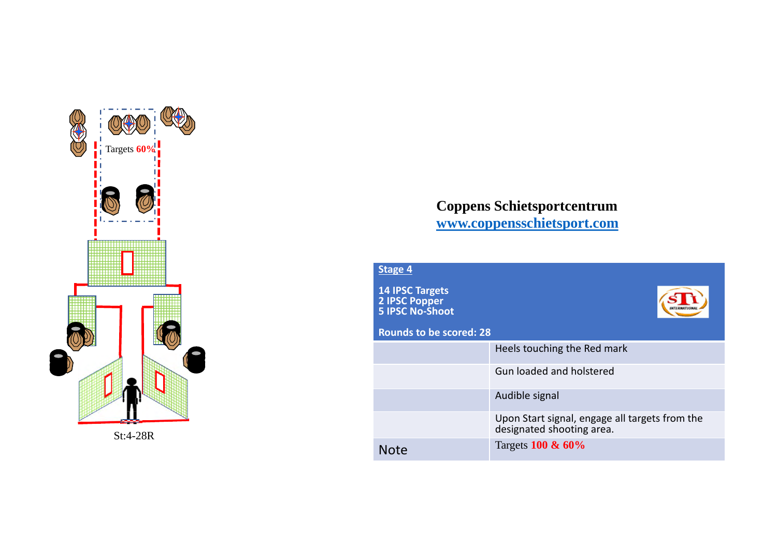



| Stage 4                                                                  |                                                                             |
|--------------------------------------------------------------------------|-----------------------------------------------------------------------------|
| <b>14 IPSC Targets</b><br><b>2 IPSC Popper</b><br><b>5 IPSC No-Shoot</b> |                                                                             |
| <b>Rounds to be scored: 28</b>                                           |                                                                             |
|                                                                          | Heels touching the Red mark                                                 |
|                                                                          | Gun loaded and holstered                                                    |
|                                                                          | Audible signal                                                              |
|                                                                          | Upon Start signal, engage all targets from the<br>designated shooting area. |
| <b>Note</b>                                                              | Targets 100 & 60%                                                           |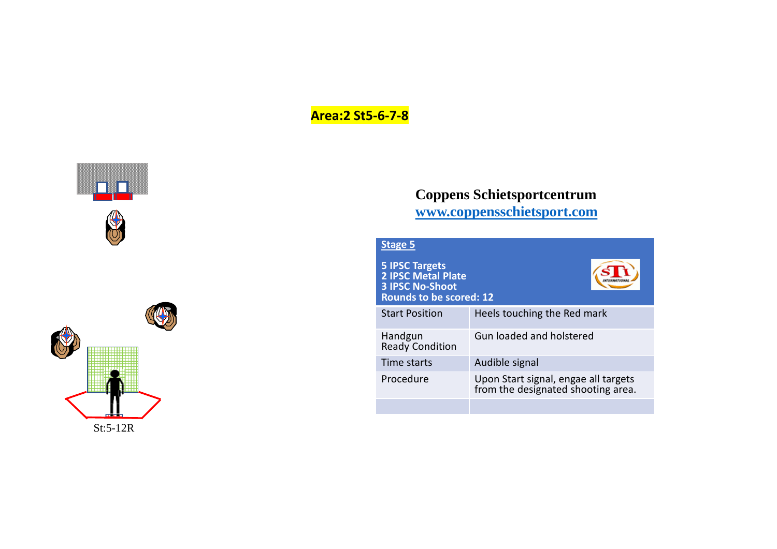# **Area:2 St5-6-7-8**





| Stage 5                                                                                                        |                                                                            |
|----------------------------------------------------------------------------------------------------------------|----------------------------------------------------------------------------|
| <b>5 IPSC Targets</b><br><b>2 IPSC Metal Plate</b><br><b>3 IPSC No-Shoot</b><br><b>Rounds to be scored: 12</b> |                                                                            |
| <b>Start Position</b>                                                                                          | Heels touching the Red mark                                                |
| Handgun<br><b>Ready Condition</b>                                                                              | Gun loaded and holstered                                                   |
| Time starts                                                                                                    | Audible signal                                                             |
| Procedure                                                                                                      | Upon Start signal, engae all targets<br>from the designated shooting area. |
|                                                                                                                |                                                                            |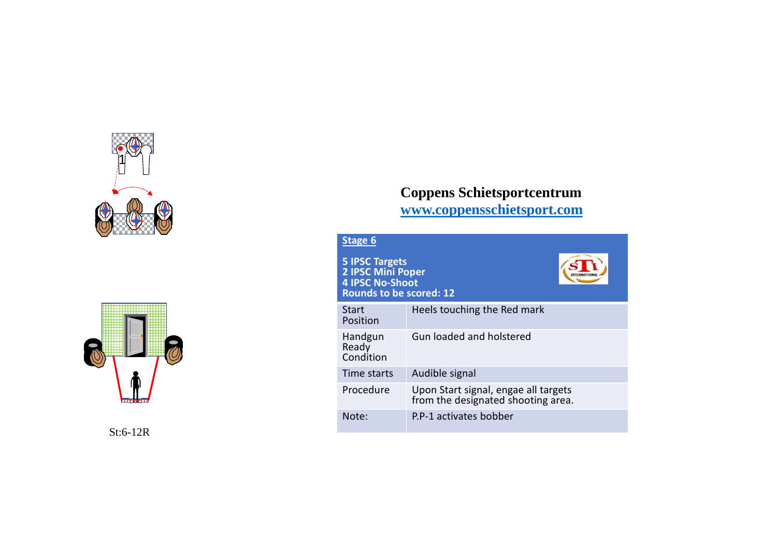



St:6-12R

# **Coppens Schietsportcentrum**

**www.coppensschietsport.com**

| <b>Stage 6</b>                                                                                                |                                                                            |  |
|---------------------------------------------------------------------------------------------------------------|----------------------------------------------------------------------------|--|
| <b>5 IPSC Targets</b><br><b>2 IPSC Mini Poper</b><br><b>4 IPSC No-Shoot</b><br><b>Rounds to be scored: 12</b> |                                                                            |  |
| <b>Start</b><br>Position                                                                                      | Heels touching the Red mark                                                |  |
| Handgun<br>Ready<br>Condition                                                                                 | <b>Gun loaded and holstered</b>                                            |  |
| Time starts                                                                                                   | Audible signal                                                             |  |
| Procedure                                                                                                     | Upon Start signal, engae all targets<br>from the designated shooting area. |  |
| Note:                                                                                                         | P.P-1 activates bobber                                                     |  |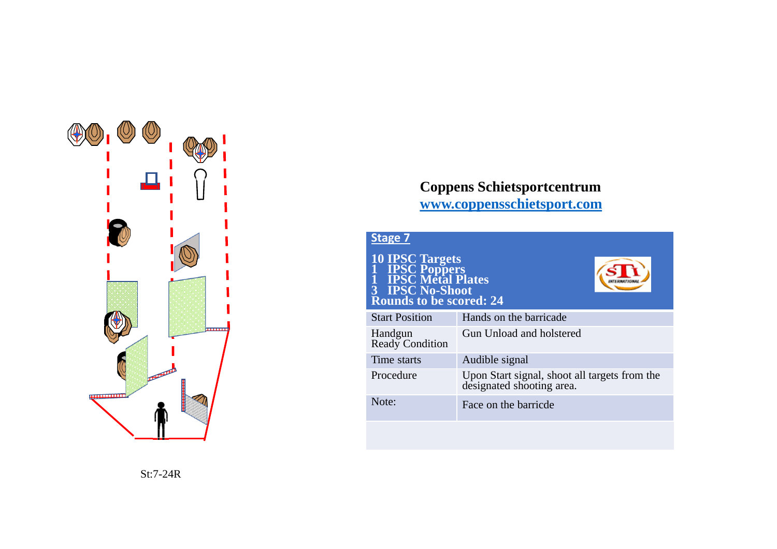

| <b>Stage 7</b><br><b>10 IPSC Targets<br/>1 IPSC Poppers<br/>1 IPSC Metal Plates</b><br>1 IPSC Poppers<br>1 IPSC Metal Pla<br>3 IPSC No-Shoot<br><b>Rounds to be scored: 24</b> |                                                                            |
|--------------------------------------------------------------------------------------------------------------------------------------------------------------------------------|----------------------------------------------------------------------------|
| <b>Start Position</b>                                                                                                                                                          | Hands on the barricade                                                     |
| Handgun<br>Ready Condition                                                                                                                                                     | Gun Unload and holstered                                                   |
| Time starts                                                                                                                                                                    | Audible signal                                                             |
| Procedure                                                                                                                                                                      | Upon Start signal, shoot all targets from the<br>designated shooting area. |
| Note:                                                                                                                                                                          | Face on the barricde                                                       |
|                                                                                                                                                                                |                                                                            |

St:7-24R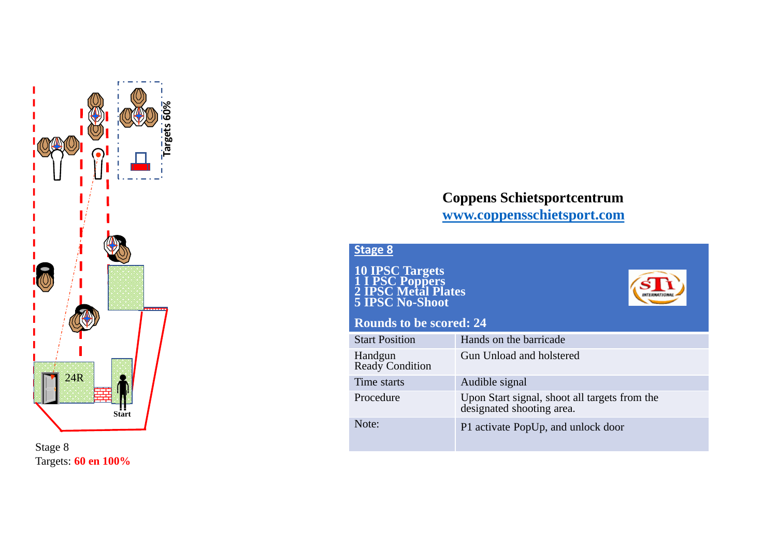

Stage 8 Targets: **60 en 100%** 

**INTERNATION** 

**Stage 8**

**10 IPSC Targets 1 I PSC Poppers 2 IPSC Metal Plates 5 IPSC No-Shoot**

#### **Rounds to be scored: 24**

| <b>Start Position</b>      | Hands on the barricade                                                  |
|----------------------------|-------------------------------------------------------------------------|
| Handgun<br>Ready Condition | Gun Unload and holstered                                                |
| Time starts                | Audible signal                                                          |
| Procedure                  | Upon Start signal, shoot all targets from the designated shooting area. |
| Note:                      | P1 activate PopUp, and unlock door                                      |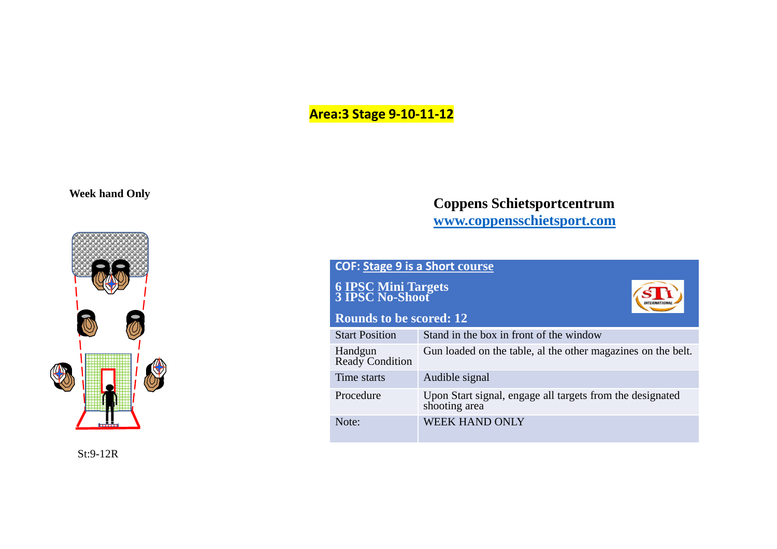# **Area:3 Stage 9-10-11-12**

**Week hand Only**



St:9-12R

| <b>COF: Stage 9 is a Short course</b>          |                                                                            |  |
|------------------------------------------------|----------------------------------------------------------------------------|--|
| <b>6 IPSC Mini Targets<br/>3 IPSC No-Shoot</b> |                                                                            |  |
| <b>Rounds to be scored: 12</b>                 |                                                                            |  |
| <b>Start Position</b>                          | Stand in the box in front of the window                                    |  |
| Handgun<br>Ready Condition                     | Gun loaded on the table, al the other magazines on the belt.               |  |
| Time starts                                    | Audible signal                                                             |  |
| Procedure                                      | Upon Start signal, engage all targets from the designated<br>shooting area |  |
| Note:                                          | <b>WEEK HAND ONLY</b>                                                      |  |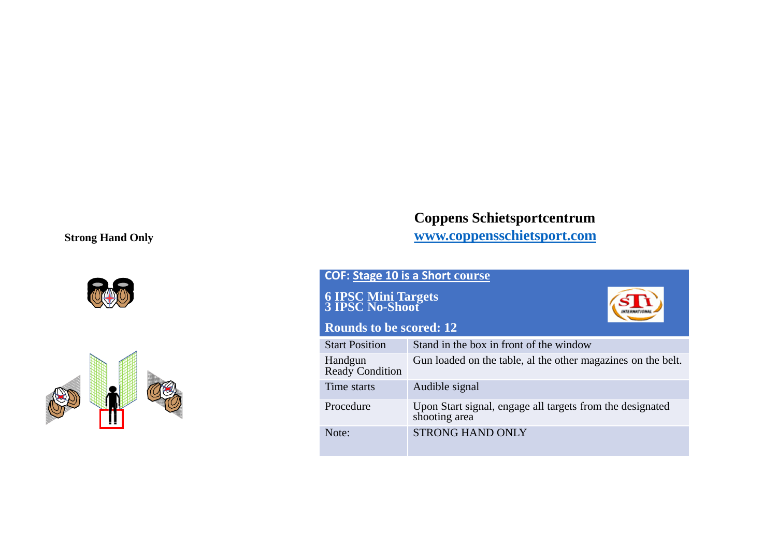#### **Strong Hand Only**





### **Coppens Schietsportcentrum www.coppensschietsport.com**

#### **COF: Stage 10 is a Short course**

**6 IPSC Mini Targets 3 IPSC No-Shoot**



#### **Rounds to be scored: 12**

| <b>Start Position</b>      | Stand in the box in front of the window                                    |
|----------------------------|----------------------------------------------------------------------------|
| Handgun<br>Ready Condition | Gun loaded on the table, al the other magazines on the belt.               |
| Time starts                | Audible signal                                                             |
| Procedure                  | Upon Start signal, engage all targets from the designated<br>shooting area |
| Note:                      | <b>STRONG HAND ONLY</b>                                                    |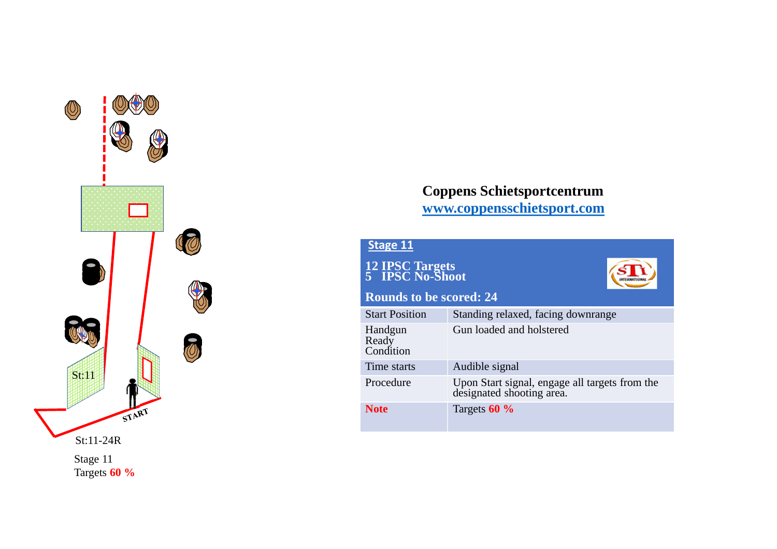

| <b>Stage 11</b>                    |                                                                             |  |
|------------------------------------|-----------------------------------------------------------------------------|--|
| 12 IPSC Targets<br>5 IPSC No-Shoot |                                                                             |  |
| <b>Rounds to be scored: 24</b>     |                                                                             |  |
| <b>Start Position</b>              | Standing relaxed, facing downrange                                          |  |
| Handgun<br>Ready<br>Condition      | Gun loaded and holstered                                                    |  |
| Time starts                        | Audible signal                                                              |  |
| Procedure                          | Upon Start signal, engage all targets from the<br>designated shooting area. |  |
| <b>Note</b>                        | Targets 60 %                                                                |  |